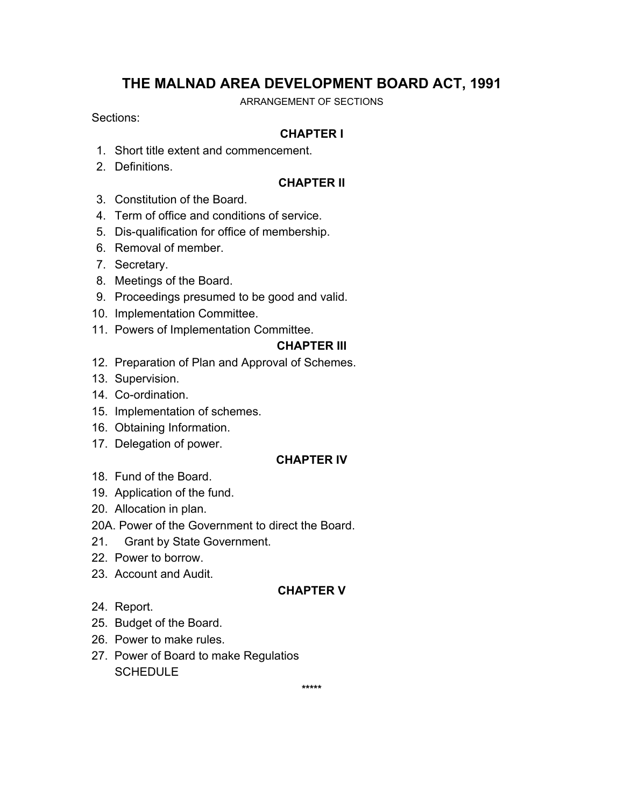# **THE MALNAD AREA DEVELOPMENT BOARD ACT, 1991**

ARRANGEMENT OF SECTIONS

Sections:

### **CHAPTER I**

- 1. Short title extent and commencement.
- 2. Definitions.

## **CHAPTER II**

- 3. Constitution of the Board.
- 4. Term of office and conditions of service.
- 5. Dis-qualification for office of membership.
- 6. Removal of member.
- 7. Secretary.
- 8. Meetings of the Board.
- 9. Proceedings presumed to be good and valid.
- 10. Implementation Committee.
- 11. Powers of Implementation Committee.

### **CHAPTER III**

- 12. Preparation of Plan and Approval of Schemes.
- 13. Supervision.
- 14. Co-ordination.
- 15. Implementation of schemes.
- 16. Obtaining Information.
- 17. Delegation of power.

### **CHAPTER IV**

- 18. Fund of the Board.
- 19. Application of the fund.
- 20. Allocation in plan.
- 20A. Power of the Government to direct the Board.
- 21. Grant by State Government.
- 22. Power to borrow.
- 23. Account and Audit.

### **CHAPTER V**

- 24. Report.
- 25. Budget of the Board.
- 26. Power to make rules.
- 27. Power of Board to make Regulatios **SCHEDULE**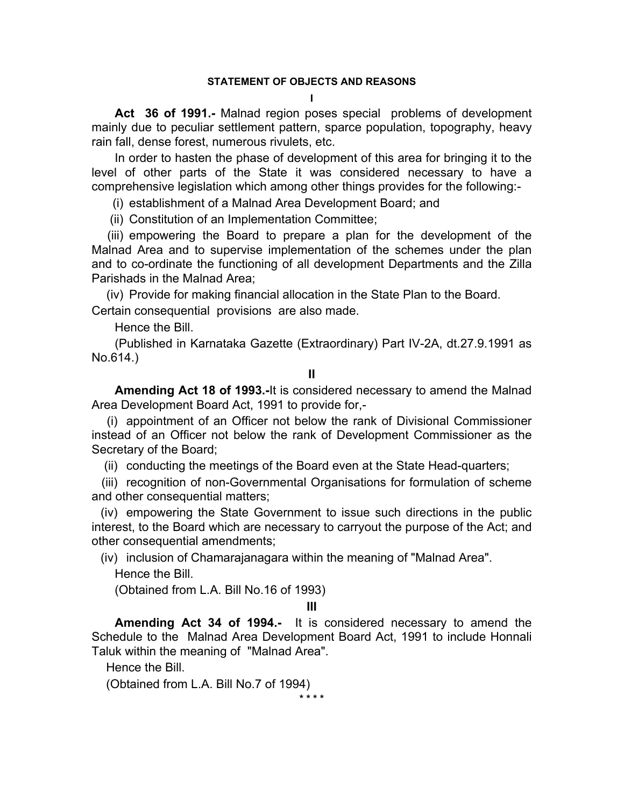**I** 

 **Act 36 of 1991.-** Malnad region poses special problems of development mainly due to peculiar settlement pattern, sparce population, topography, heavy rain fall, dense forest, numerous rivulets, etc.

 In order to hasten the phase of development of this area for bringing it to the level of other parts of the State it was considered necessary to have a comprehensive legislation which among other things provides for the following:-

(i) establishment of a Malnad Area Development Board; and

(ii) Constitution of an Implementation Committee;

 (iii) empowering the Board to prepare a plan for the development of the Malnad Area and to supervise implementation of the schemes under the plan and to co-ordinate the functioning of all development Departments and the Zilla Parishads in the Malnad Area;

 (iv) Provide for making financial allocation in the State Plan to the Board. Certain consequential provisions are also made.

Hence the Bill.

 (Published in Karnataka Gazette (Extraordinary) Part IV-2A, dt.27.9.1991 as No.614.)

## **II**

 **Amending Act 18 of 1993.-**It is considered necessary to amend the Malnad Area Development Board Act, 1991 to provide for,-

 (i) appointment of an Officer not below the rank of Divisional Commissioner instead of an Officer not below the rank of Development Commissioner as the Secretary of the Board;

(ii) conducting the meetings of the Board even at the State Head-quarters;

 (iii) recognition of non-Governmental Organisations for formulation of scheme and other consequential matters;

 (iv) empowering the State Government to issue such directions in the public interest, to the Board which are necessary to carryout the purpose of the Act; and other consequential amendments;

 (iv) inclusion of Chamarajanagara within the meaning of "Malnad Area". Hence the Bill.

(Obtained from L.A. Bill No.16 of 1993)

### **III**

 **Amending Act 34 of 1994.-** It is considered necessary to amend the Schedule to the Malnad Area Development Board Act, 1991 to include Honnali Taluk within the meaning of "Malnad Area".

Hence the Bill.

(Obtained from L.A. Bill No.7 of 1994)

**\* \* \* \***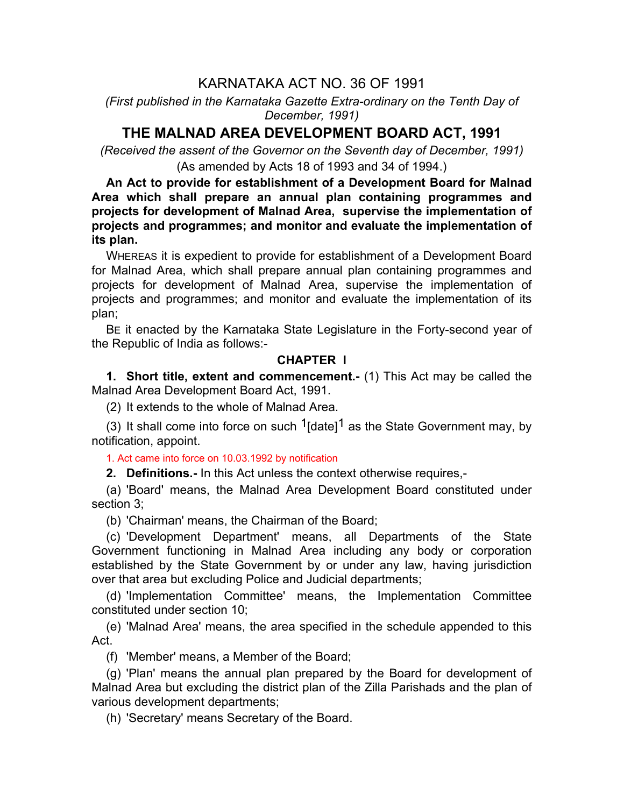## KARNATAKA ACT NO. 36 OF 1991

*(First published in the Karnataka Gazette Extra-ordinary on the Tenth Day of December, 1991)*

## **THE MALNAD AREA DEVELOPMENT BOARD ACT, 1991**

*(Received the assent of the Governor on the Seventh day of December, 1991)* (As amended by Acts 18 of 1993 and 34 of 1994.)

**An Act to provide for establishment of a Development Board for Malnad Area which shall prepare an annual plan containing programmes and projects for development of Malnad Area, supervise the implementation of projects and programmes; and monitor and evaluate the implementation of its plan.**

 WHEREAS it is expedient to provide for establishment of a Development Board for Malnad Area, which shall prepare annual plan containing programmes and projects for development of Malnad Area, supervise the implementation of projects and programmes; and monitor and evaluate the implementation of its plan;

 BE it enacted by the Karnataka State Legislature in the Forty-second year of the Republic of India as follows:-

### **CHAPTER I**

**1. Short title, extent and commencement.-** (1) This Act may be called the Malnad Area Development Board Act, 1991.

(2) It extends to the whole of Malnad Area.

(3) It shall come into force on such  $1$ [date]<sup>1</sup> as the State Government may, by notification, appoint.

1. Act came into force on 10.03.1992 by notification

**2. Definitions.-** In this Act unless the context otherwise requires,-

 (a) 'Board' means, the Malnad Area Development Board constituted under section 3;

(b) 'Chairman' means, the Chairman of the Board;

 (c) 'Development Department' means, all Departments of the State Government functioning in Malnad Area including any body or corporation established by the State Government by or under any law, having jurisdiction over that area but excluding Police and Judicial departments;

 (d) 'Implementation Committee' means, the Implementation Committee constituted under section 10;

 (e) 'Malnad Area' means, the area specified in the schedule appended to this Act.

(f) 'Member' means, a Member of the Board;

 (g) 'Plan' means the annual plan prepared by the Board for development of Malnad Area but excluding the district plan of the Zilla Parishads and the plan of various development departments;

(h) 'Secretary' means Secretary of the Board.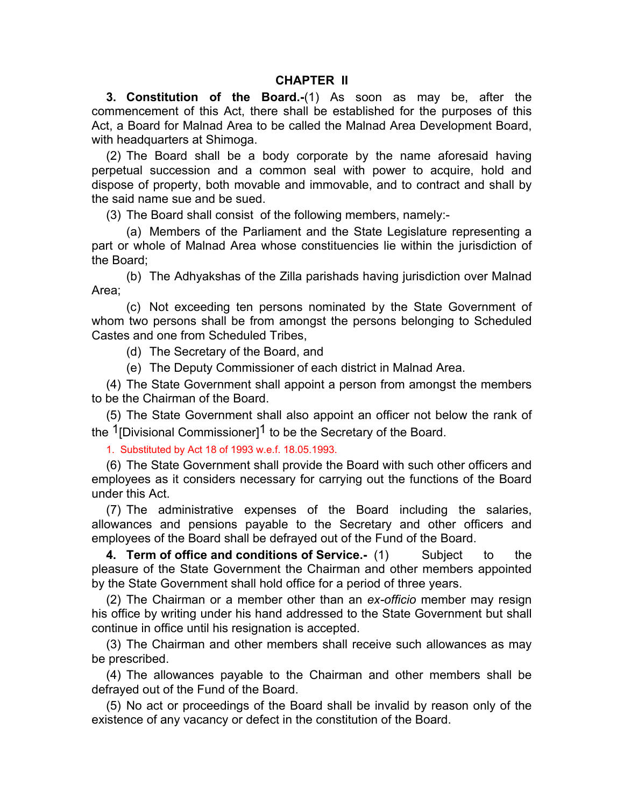**3. Constitution of the Board.-**(1) As soon as may be, after the commencement of this Act, there shall be established for the purposes of this Act, a Board for Malnad Area to be called the Malnad Area Development Board, with headquarters at Shimoga.

 (2) The Board shall be a body corporate by the name aforesaid having perpetual succession and a common seal with power to acquire, hold and dispose of property, both movable and immovable, and to contract and shall by the said name sue and be sued.

(3) The Board shall consist of the following members, namely:-

 (a) Members of the Parliament and the State Legislature representing a part or whole of Malnad Area whose constituencies lie within the jurisdiction of the Board;

 (b) The Adhyakshas of the Zilla parishads having jurisdiction over Malnad Area;

 (c) Not exceeding ten persons nominated by the State Government of whom two persons shall be from amongst the persons belonging to Scheduled Castes and one from Scheduled Tribes,

(d) The Secretary of the Board, and

(e) The Deputy Commissioner of each district in Malnad Area.

 (4) The State Government shall appoint a person from amongst the members to be the Chairman of the Board.

 (5) The State Government shall also appoint an officer not below the rank of the <sup>1</sup>[Divisional Commissioner]<sup>1</sup> to be the Secretary of the Board.

1. Substituted by Act 18 of 1993 w.e.f. 18.05.1993.

 (6) The State Government shall provide the Board with such other officers and employees as it considers necessary for carrying out the functions of the Board under this Act.

 (7) The administrative expenses of the Board including the salaries, allowances and pensions payable to the Secretary and other officers and employees of the Board shall be defrayed out of the Fund of the Board.

**4. Term of office and conditions of Service.-** (1) Subject to the pleasure of the State Government the Chairman and other members appointed by the State Government shall hold office for a period of three years.

 (2) The Chairman or a member other than an *ex-officio* member may resign his office by writing under his hand addressed to the State Government but shall continue in office until his resignation is accepted.

 (3) The Chairman and other members shall receive such allowances as may be prescribed.

 (4) The allowances payable to the Chairman and other members shall be defrayed out of the Fund of the Board.

 (5) No act or proceedings of the Board shall be invalid by reason only of the existence of any vacancy or defect in the constitution of the Board.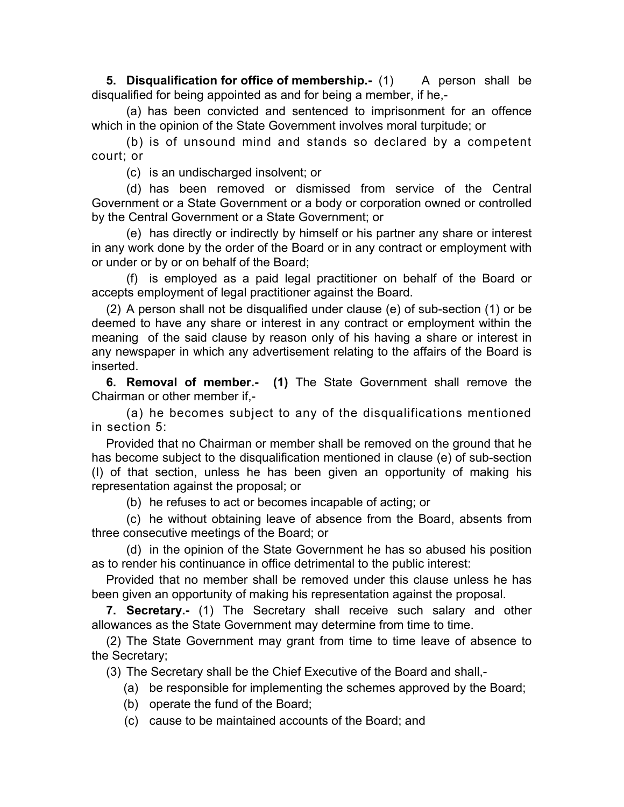**5. Disqualification for office of membership.** (1) A person shall be disqualified for being appointed as and for being a member, if he,-

 (a) has been convicted and sentenced to imprisonment for an offence which in the opinion of the State Government involves moral turpitude; or

 (b) is of unsound mind and stands so declared by a competent court; or

(c) is an undischarged insolvent; or

 (d) has been removed or dismissed from service of the Central Government or a State Government or a body or corporation owned or controlled by the Central Government or a State Government; or

 (e) has directly or indirectly by himself or his partner any share or interest in any work done by the order of the Board or in any contract or employment with or under or by or on behalf of the Board;

 (f) is employed as a paid legal practitioner on behalf of the Board or accepts employment of legal practitioner against the Board.

 (2) A person shall not be disqualified under clause (e) of sub-section (1) or be deemed to have any share or interest in any contract or employment within the meaning of the said clause by reason only of his having a share or interest in any newspaper in which any advertisement relating to the affairs of the Board is inserted.

**6. Removal of member.- (1)** The State Government shall remove the Chairman or other member if,-

 (a) he becomes subject to any of the disqualifications mentioned in section 5:

 Provided that no Chairman or member shall be removed on the ground that he has become subject to the disqualification mentioned in clause (e) of sub-section (I) of that section, unless he has been given an opportunity of making his representation against the proposal; or

(b) he refuses to act or becomes incapable of acting; or

 (c) he without obtaining leave of absence from the Board, absents from three consecutive meetings of the Board; or

 (d) in the opinion of the State Government he has so abused his position as to render his continuance in office detrimental to the public interest:

 Provided that no member shall be removed under this clause unless he has been given an opportunity of making his representation against the proposal.

**7. Secretary.-** (1) The Secretary shall receive such salary and other allowances as the State Government may determine from time to time.

 (2) The State Government may grant from time to time leave of absence to the Secretary;

(3) The Secretary shall be the Chief Executive of the Board and shall,-

- (a) be responsible for implementing the schemes approved by the Board;
- (b) operate the fund of the Board;
- (c) cause to be maintained accounts of the Board; and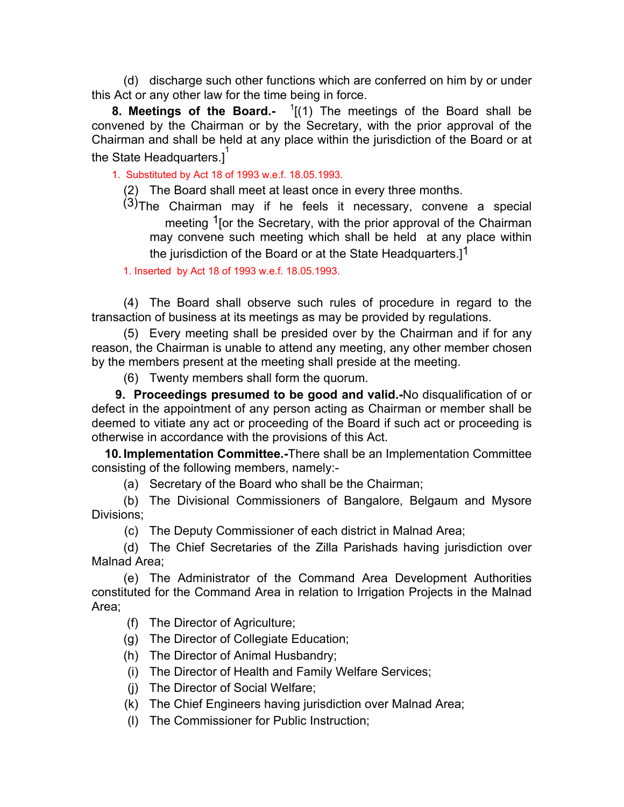(d) discharge such other functions which are conferred on him by or under this Act or any other law for the time being in force.

**8. Meetings of the Board.-** <sup>1</sup> [(1) The meetings of the Board shall be convened by the Chairman or by the Secretary, with the prior approval of the Chairman and shall be held at any place within the jurisdiction of the Board or at the State Headquarters.]<sup>1</sup>

1. Substituted by Act 18 of 1993 w.e.f. 18.05.1993.

- (2) The Board shall meet at least once in every three months.
- (3) The Chairman may if he feels it necessary, convene a special meeting <sup>1</sup> [or the Secretary, with the prior approval of the Chairman may convene such meeting which shall be held at any place within the jurisdiction of the Board or at the State Headquarters. $1^1$

1. Inserted by Act 18 of 1993 w.e.f. 18.05.1993.

 (4) The Board shall observe such rules of procedure in regard to the transaction of business at its meetings as may be provided by regulations.

 (5) Every meeting shall be presided over by the Chairman and if for any reason, the Chairman is unable to attend any meeting, any other member chosen by the members present at the meeting shall preside at the meeting.

(6) Twenty members shall form the quorum.

 **9. Proceedings presumed to be good and valid.-**No disqualification of or defect in the appointment of any person acting as Chairman or member shall be deemed to vitiate any act or proceeding of the Board if such act or proceeding is otherwise in accordance with the provisions of this Act.

 **10. Implementation Committee.-**There shall be an Implementation Committee consisting of the following members, namely:-

(a) Secretary of the Board who shall be the Chairman;

 (b) The Divisional Commissioners of Bangalore, Belgaum and Mysore Divisions;

(c) The Deputy Commissioner of each district in Malnad Area;

 (d) The Chief Secretaries of the Zilla Parishads having jurisdiction over Malnad Area;

 (e) The Administrator of the Command Area Development Authorities constituted for the Command Area in relation to Irrigation Projects in the Malnad Area;

(f) The Director of Agriculture;

(g) The Director of Collegiate Education;

- (h) The Director of Animal Husbandry;
- (i) The Director of Health and Family Welfare Services;
- (j) The Director of Social Welfare;
- (k) The Chief Engineers having jurisdiction over Malnad Area;
- (l) The Commissioner for Public Instruction;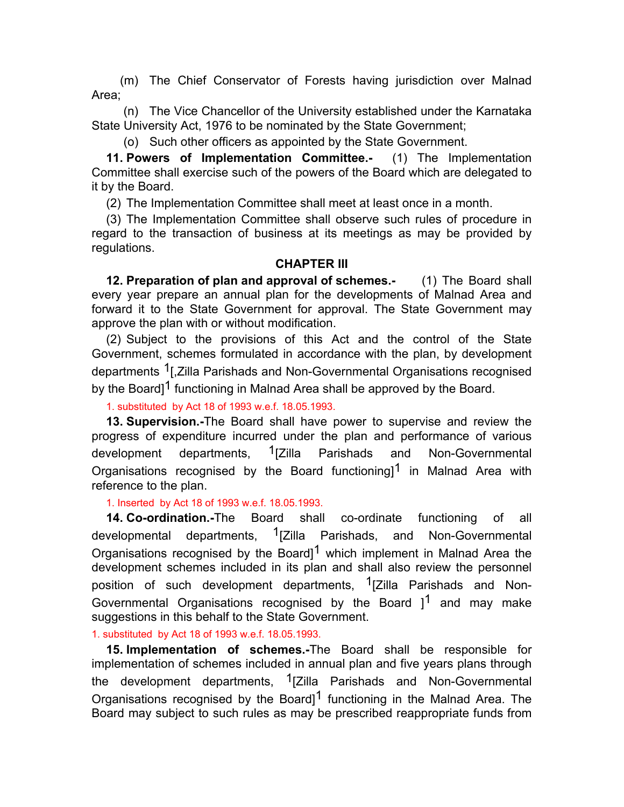(m) The Chief Conservator of Forests having jurisdiction over Malnad Area;

 (n) The Vice Chancellor of the University established under the Karnataka State University Act, 1976 to be nominated by the State Government;

(o) Such other officers as appointed by the State Government.

**11. Powers of Implementation Committee.-** (1) The Implementation Committee shall exercise such of the powers of the Board which are delegated to it by the Board.

(2) The Implementation Committee shall meet at least once in a month.

 (3) The Implementation Committee shall observe such rules of procedure in regard to the transaction of business at its meetings as may be provided by regulations.

#### **CHAPTER III**

**12. Preparation of plan and approval of schemes.-** (1) The Board shall every year prepare an annual plan for the developments of Malnad Area and forward it to the State Government for approval. The State Government may approve the plan with or without modification.

 (2) Subject to the provisions of this Act and the control of the State Government, schemes formulated in accordance with the plan, by development departments 1[,Zilla Parishads and Non-Governmental Organisations recognised by the Board]<sup>1</sup> functioning in Malnad Area shall be approved by the Board.

1. substituted by Act 18 of 1993 w.e.f. 18.05.1993.

**13. Supervision.-**The Board shall have power to supervise and review the progress of expenditure incurred under the plan and performance of various development departments, <sup>1</sup>[Zilla Parishads and Non-Governmental Organisations recognised by the Board functioning<sup>1</sup> in Malnad Area with reference to the plan.

1. Inserted by Act 18 of 1993 w.e.f. 18.05.1993.

**14. Co-ordination.-**The Board shall co-ordinate functioning of all developmental departments, <sup>1</sup>[Zilla Parishads, and Non-Governmental Organisations recognised by the Board<sup>1</sup> which implement in Malnad Area the development schemes included in its plan and shall also review the personnel position of such development departments, <sup>1</sup>[Zilla Parishads and Non-Governmental Organisations recognised by the Board  $1^1$  and may make suggestions in this behalf to the State Government.

1. substituted by Act 18 of 1993 w.e.f. 18.05.1993.

**15. Implementation of schemes.-**The Board shall be responsible for implementation of schemes included in annual plan and five years plans through the development departments, <sup>1</sup>[Zilla Parishads and Non-Governmental Organisations recognised by the Board<sup>1</sup> functioning in the Malnad Area. The Board may subject to such rules as may be prescribed reappropriate funds from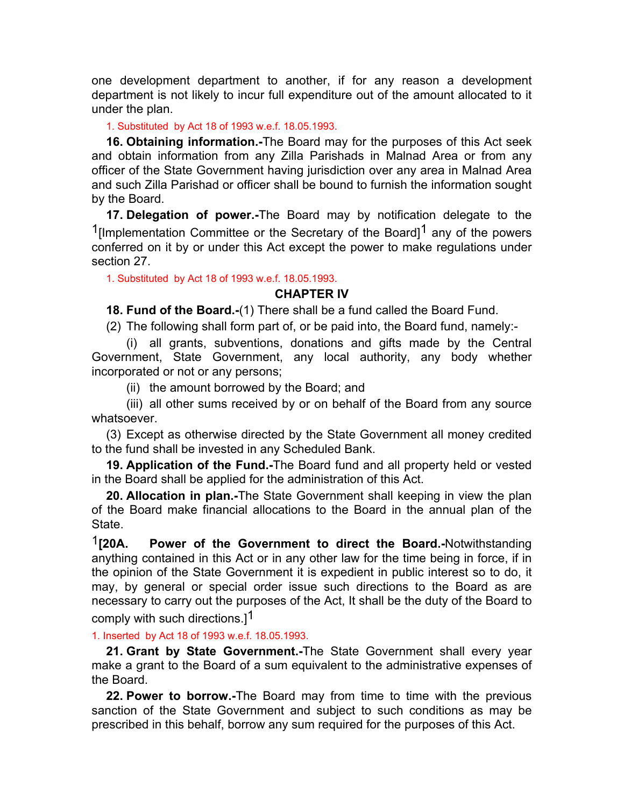one development department to another, if for any reason a development department is not likely to incur full expenditure out of the amount allocated to it under the plan.

1. Substituted by Act 18 of 1993 w.e.f. 18.05.1993.

**16. Obtaining information.-**The Board may for the purposes of this Act seek and obtain information from any Zilla Parishads in Malnad Area or from any officer of the State Government having jurisdiction over any area in Malnad Area and such Zilla Parishad or officer shall be bound to furnish the information sought by the Board.

**17. Delegation of power.-**The Board may by notification delegate to the <sup>1</sup>[Implementation Committee or the Secretary of the Board]<sup>1</sup> any of the powers conferred on it by or under this Act except the power to make regulations under section 27.

1. Substituted by Act 18 of 1993 w.e.f. 18.05.1993.

### **CHAPTER IV**

**18. Fund of the Board.-**(1) There shall be a fund called the Board Fund.

(2) The following shall form part of, or be paid into, the Board fund, namely:-

 (i) all grants, subventions, donations and gifts made by the Central Government, State Government, any local authority, any body whether incorporated or not or any persons;

(ii) the amount borrowed by the Board; and

 (iii) all other sums received by or on behalf of the Board from any source whatsoever.

 (3) Except as otherwise directed by the State Government all money credited to the fund shall be invested in any Scheduled Bank.

**19. Application of the Fund.-**The Board fund and all property held or vested in the Board shall be applied for the administration of this Act.

**20. Allocation in plan.-**The State Government shall keeping in view the plan of the Board make financial allocations to the Board in the annual plan of the State.

1**[20A. Power of the Government to direct the Board.-**Notwithstanding anything contained in this Act or in any other law for the time being in force, if in the opinion of the State Government it is expedient in public interest so to do, it may, by general or special order issue such directions to the Board as are necessary to carry out the purposes of the Act, It shall be the duty of the Board to comply with such directions.]1

### 1. Inserted by Act 18 of 1993 w.e.f. 18.05.1993.

**21. Grant by State Government.-**The State Government shall every year make a grant to the Board of a sum equivalent to the administrative expenses of the Board.

**22. Power to borrow.-**The Board may from time to time with the previous sanction of the State Government and subject to such conditions as may be prescribed in this behalf, borrow any sum required for the purposes of this Act.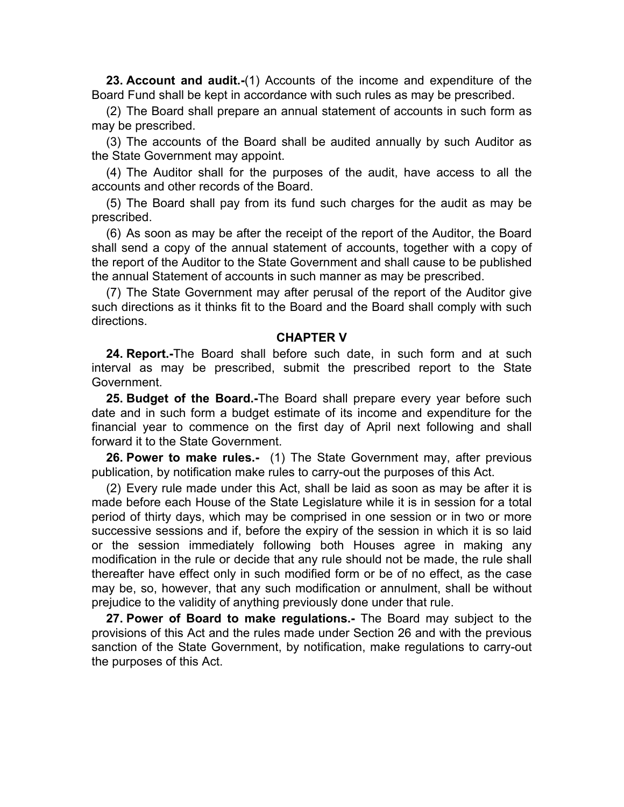**23. Account and audit.-**(1) Accounts of the income and expenditure of the Board Fund shall be kept in accordance with such rules as may be prescribed.

 (2) The Board shall prepare an annual statement of accounts in such form as may be prescribed.

 (3) The accounts of the Board shall be audited annually by such Auditor as the State Government may appoint.

 (4) The Auditor shall for the purposes of the audit, have access to all the accounts and other records of the Board.

 (5) The Board shall pay from its fund such charges for the audit as may be prescribed.

 (6) As soon as may be after the receipt of the report of the Auditor, the Board shall send a copy of the annual statement of accounts, together with a copy of the report of the Auditor to the State Government and shall cause to be published the annual Statement of accounts in such manner as may be prescribed.

 (7) The State Government may after perusal of the report of the Auditor give such directions as it thinks fit to the Board and the Board shall comply with such directions.

#### **CHAPTER V**

**24. Report.-**The Board shall before such date, in such form and at such interval as may be prescribed, submit the prescribed report to the State Government.

**25. Budget of the Board.-**The Board shall prepare every year before such date and in such form a budget estimate of its income and expenditure for the financial year to commence on the first day of April next following and shall forward it to the State Government.

**26. Power to make rules.-** (1) The State Government may, after previous publication, by notification make rules to carry-out the purposes of this Act.

 (2) Every rule made under this Act, shall be laid as soon as may be after it is made before each House of the State Legislature while it is in session for a total period of thirty days, which may be comprised in one session or in two or more successive sessions and if, before the expiry of the session in which it is so laid or the session immediately following both Houses agree in making any modification in the rule or decide that any rule should not be made, the rule shall thereafter have effect only in such modified form or be of no effect, as the case may be, so, however, that any such modification or annulment, shall be without prejudice to the validity of anything previously done under that rule.

**27. Power of Board to make regulations.-** The Board may subject to the provisions of this Act and the rules made under Section 26 and with the previous sanction of the State Government, by notification, make regulations to carry-out the purposes of this Act.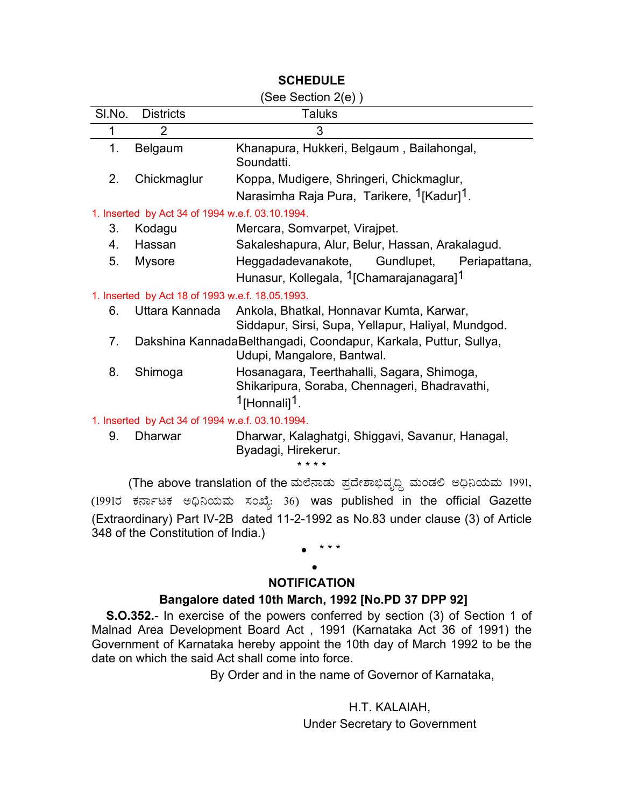| (See Section 2(e))                               |                  |                                                                                                |
|--------------------------------------------------|------------------|------------------------------------------------------------------------------------------------|
| SI.No.                                           | <b>Districts</b> | <b>Taluks</b>                                                                                  |
| 1                                                | 2                | 3                                                                                              |
| 1.                                               | Belgaum          | Khanapura, Hukkeri, Belgaum, Bailahongal,<br>Soundatti.                                        |
| 2.                                               | Chickmaglur      | Koppa, Mudigere, Shringeri, Chickmaglur,                                                       |
|                                                  |                  | Narasimha Raja Pura, Tarikere, <sup>1</sup> [Kadur] <sup>1</sup> .                             |
| 1. Inserted by Act 34 of 1994 w.e.f. 03.10.1994. |                  |                                                                                                |
| 3.                                               | Kodagu           | Mercara, Somvarpet, Virajpet.                                                                  |
| 4.                                               | Hassan           | Sakaleshapura, Alur, Belur, Hassan, Arakalagud.                                                |
| 5.                                               | <b>Mysore</b>    | Heggadadevanakote, Gundlupet,<br>Periapattana,                                                 |
|                                                  |                  | Hunasur, Kollegala, <sup>1</sup> [Chamarajanagara] <sup>1</sup>                                |
| 1. Inserted by Act 18 of 1993 w.e.f. 18.05.1993. |                  |                                                                                                |
| 6.                                               | Uttara Kannada   | Ankola, Bhatkal, Honnavar Kumta, Karwar,<br>Siddapur, Sirsi, Supa, Yellapur, Haliyal, Mundgod. |
| 7.                                               |                  | Dakshina KannadaBelthangadi, Coondapur, Karkala, Puttur, Sullya,<br>Udupi, Mangalore, Bantwal. |
| 8.                                               | Shimoga          | Hosanagara, Teerthahalli, Sagara, Shimoga,                                                     |
|                                                  |                  | Shikaripura, Soraba, Chennageri, Bhadravathi,<br><sup>1</sup> [Honnali] <sup>1</sup> .         |
| 1. Inserted by Act 34 of 1994 w.e.f. 03.10.1994. |                  |                                                                                                |
| 9.                                               | <b>Dharwar</b>   | Dharwar, Kalaghatgi, Shiggavi, Savanur, Hanagal,<br>Byadagi, Hirekerur.                        |

**SCHEDULE**

(1991ರ ಕರ್ನಾಟಕ ಅಧಿನಿಯಮ ಸಂಖ್ಯೆ: 36) was published in the official Gazette (Extraordinary) Part IV-2B dated 11-2-1992 as No.83 under clause (3) of Article 348 of the Constitution of India.)

(The above translation of the ಮಲೆನಾಡು ಪ್ರದೇಶಾಭಿವೃದ್ಧಿ ಮಂಡಲಿ ಅಧಿನಿಯಮ 1991,

• \* \* \*

\* \* \* \*

## • **NOTIFICATION**

## **Bangalore dated 10th March, 1992 [No.PD 37 DPP 92]**

**S.O.352.**- In exercise of the powers conferred by section (3) of Section 1 of Malnad Area Development Board Act , 1991 (Karnataka Act 36 of 1991) the Government of Karnataka hereby appoint the 10th day of March 1992 to be the date on which the said Act shall come into force.

By Order and in the name of Governor of Karnataka,

H.T. KALAIAH, Under Secretary to Government